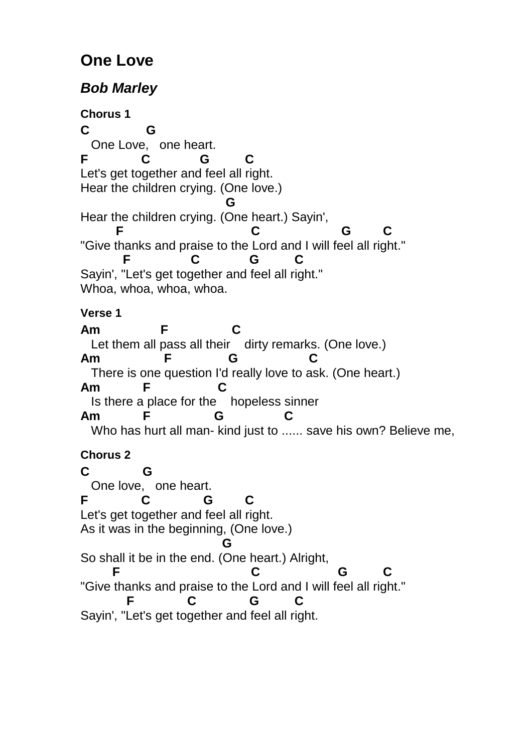## **One Love**

## **Bob Marley**

**Chorus 1 C G**  One Love, one heart. **F C G C**  Let's get together and feel all right. Hear the children crying. (One love.)  **G**  Hear the children crying. (One heart.) Sayin', **e** C G C "Give thanks and praise to the Lord and I will feel all right."  **F C G C**  Sayin', "Let's get together and feel all right." Whoa, whoa, whoa, whoa. **Verse 1 Am F C**  Let them all pass all their dirty remarks. (One love.) **Am F G C**  There is one question I'd really love to ask. (One heart.) Am F Is there a place for the hopeless sinner **Am F G C**  Who has hurt all man- kind just to ...... save his own? Believe me, **Chorus 2 C G**  One love, one heart. **F C G C**  Let's get together and feel all right. As it was in the beginning, (One love.)  **G**  So shall it be in the end. (One heart.) Alright,  **F C G C**  "Give thanks and praise to the Lord and I will feel all right."  **F C G C**  Sayin', "Let's get together and feel all right.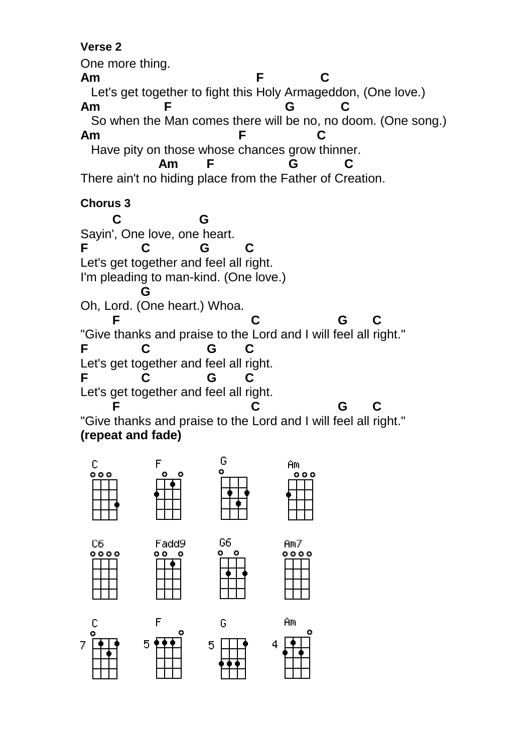**Verse 2** One more thing. **Am F C**  Let's get together to fight this Holy Armageddon, (One love.) **Am F G C**  So when the Man comes there will be no, no doom. (One song.) **Am F C**  Have pity on those whose chances grow thinner.  **Am F G C**  There ain't no hiding place from the Father of Creation. **Chorus 3 C G**  Sayin', One love, one heart. **F C G C**  Let's get together and feel all right. I'm pleading to man-kind. (One love.)  **G**  Oh, Lord. (One heart.) Whoa.  **F C G C** "Give thanks and praise to the Lord and I will feel all right." **F C G C**  Let's get together and feel all right. **F C G C**  Let's get together and feel all right.  **F C G C**  "Give thanks and praise to the Lord and I will feel all right." **(repeat and fade)** 









 $AmZ$ 

 $0000$ 

Am

 $000$ 





F

5

F









| ĤM |  |  | o |
|----|--|--|---|
|    |  |  |   |
|    |  |  |   |
|    |  |  |   |
|    |  |  |   |